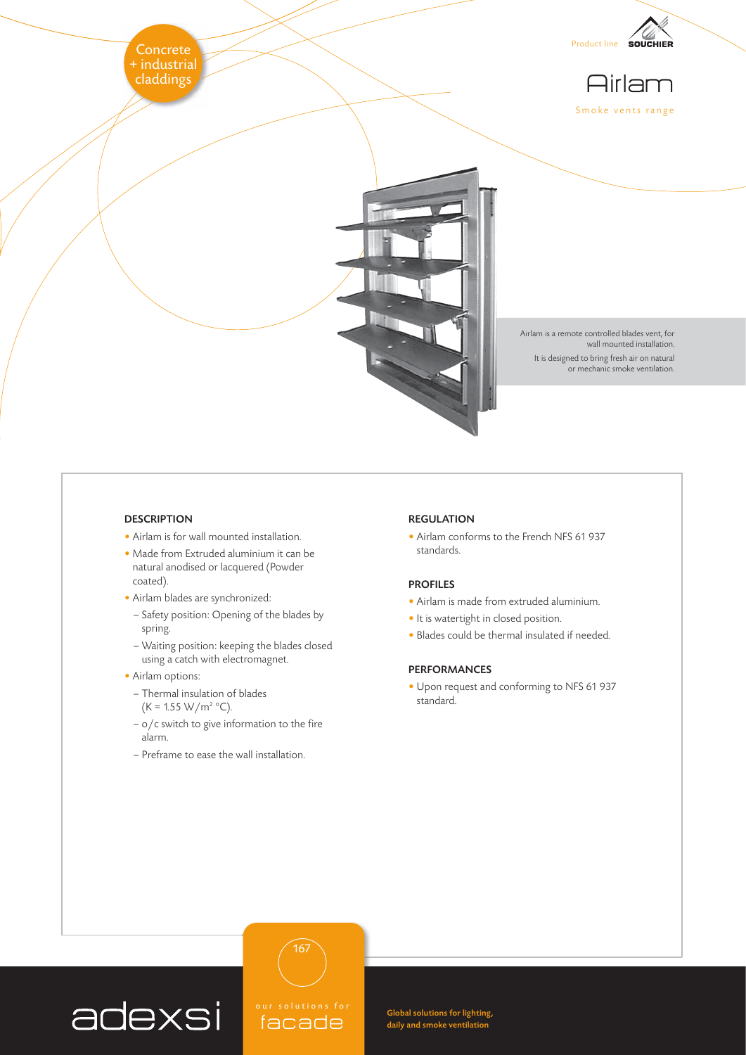

# **DESCRIPTION**

- Airlam is for wall mounted installation.
- Made from Extruded aluminium it can be natural anodised or lacquered (Powder coated).
- Airlam blades are synchronized:
- Safety position: Opening of the blades by spring.
- Waiting position: keeping the blades closed using a catch with electromagnet.
- Airlam options:
	- Thermal insulation of blades

$$
(K = 1.55 \text{ W/m}^2 \text{ °C}).
$$

- $-$  o/c switch to give information to the fire alarm.
- Preframe to ease the wall installation.

### REGULATION

• Airlam conforms to the French NFS 61 937 standards.

### PROFILES

- Airlam is made from extruded aluminium.
- It is watertight in closed position.
- Blades could be thermal insulated if needed.

## PERFORMANCES

• Upon request and conforming to NFS 61 937 standard.



facade

167

Global solutions for lighting, daily and smoke ventilation